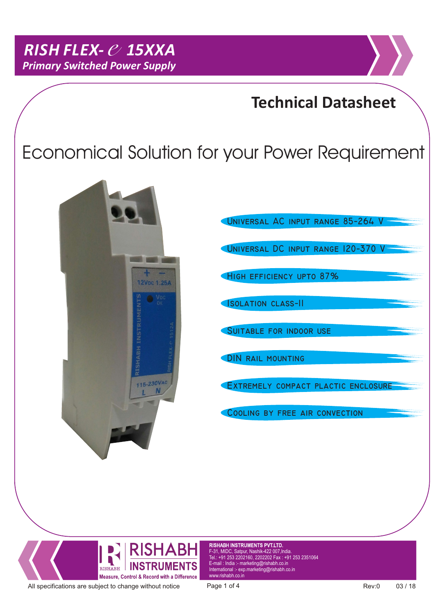### **Technical Datasheet**

# Economical Solution for your Power Requirement



UNIVERSAL DC INPUT RANGE 120-370 V HIGH EFFICIENCY UPTO 87% **ISOLATION CLASS-II DIN RAIL MOUNTING** EXTREMELY COMPACT PLACTIC ENCLOSURE **SUITABLE FOR INDOOR USE** COOLING BY FREE AIR CONVECTION UNIVERSAL AC INPUT RANGE 85-264 V



RISHABH INSTRUMENTS PVT.LTD. F-31, MIDC, Satpur, Nashik-422 007,India. Tel.: +91 253 2202160, 2202202 Fax : +91 253 2351064 E-mail : India :- marketing@rishabh.co.in www.rishabh.co.in

All specifications are subject to change without notice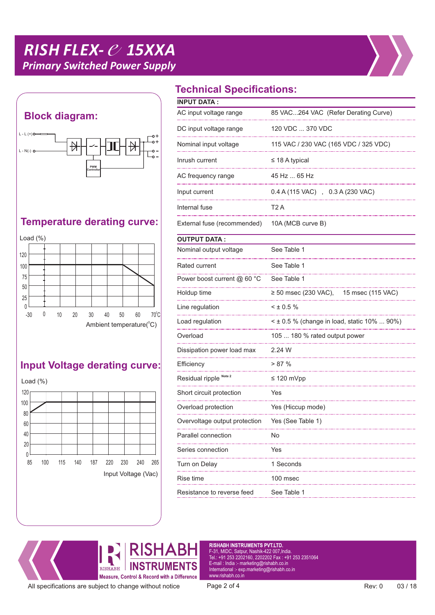## *RISH FLEX- e15XXA Primary Switched Power Supply*





#### **Temperature derating curve:**



#### **Input Voltage derating curve:**



### **Technical Specifications:**

| <b>INPUT DATA:</b>            |                                                  |  |  |
|-------------------------------|--------------------------------------------------|--|--|
|                               |                                                  |  |  |
| AC input voltage range        | 85 VAC264 VAC (Refer Derating Curve)             |  |  |
| DC input voltage range        | 120 VDC  370 VDC                                 |  |  |
| Nominal input voltage         | 115 VAC / 230 VAC (165 VDC / 325 VDC)            |  |  |
| Inrush current                | $\leq$ 18 A typical                              |  |  |
| AC frequency range            | 45 Hz  65 Hz                                     |  |  |
| Input current                 | 0.4 A (115 VAC) , 0.3 A (230 VAC)                |  |  |
| Internal fuse                 | T <sub>2</sub> A                                 |  |  |
| External fuse (recommended)   | 10A (MCB curve B)                                |  |  |
| <b>OUTPUT DATA:</b>           |                                                  |  |  |
| Nominal output voltage        | See Table 1                                      |  |  |
| Rated current                 | See Table 1                                      |  |  |
| Power boost current @ 60 °C   | See Table 1                                      |  |  |
| Holdup time                   | ≥ 50 msec (230 VAC),<br>15 msec (115 VAC)        |  |  |
| Line regulation               | $<$ ± 0.5 %                                      |  |  |
| Load regulation               | $\leq$ ± 0.5 % (change in load, static 10%  90%) |  |  |
| Overload                      | 105  180 % rated output power                    |  |  |
| Dissipation power load max    | 2.24 W                                           |  |  |
| Efficiency                    | > 87%                                            |  |  |
| Residual ripple Note 2        | $\leq$ 120 mVpp                                  |  |  |
| Short circuit protection      | Yes                                              |  |  |
| Overload protection           | Yes (Hiccup mode)                                |  |  |
| Overvoltage output protection | Yes (See Table 1)                                |  |  |
| Parallel connection           | No                                               |  |  |
| Series connection             | Yes                                              |  |  |
| Turn on Delay                 | 1 Seconds                                        |  |  |
| Rise time                     | 100 msec                                         |  |  |
| Resistance to reverse feed    | See Table 1                                      |  |  |



RISHABH INSTRUMENTS PVT.LTD. F-31, MIDC, Satpur, Nashik-422 007,India. Tel.: +91 253 2202160, 2202202 Fax : +91 253 2351064 E-mail : India :- marketing@rishabh.co.in International :- exp.marketing@rishabh.co.in www.rishabh.co.in

All specifications are subject to change without notice Page 2 of 4 Rev: 0 03 / 18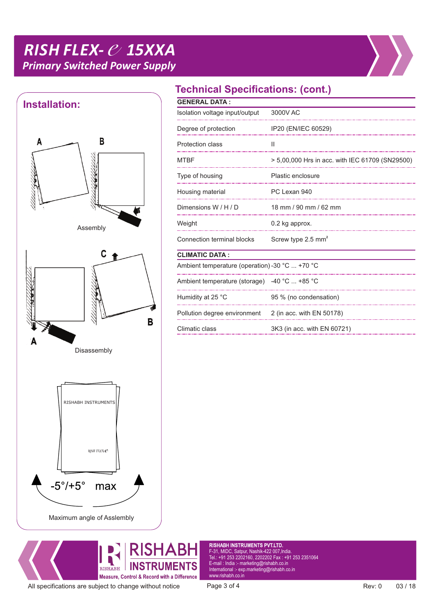## *RISH FLEX- e15XXA Primary Switched Power Supply*





#### **Technical Specifications: (cont.)**

| <b>GENERAL DATA:</b>                           |                                                 |  |  |
|------------------------------------------------|-------------------------------------------------|--|--|
| Isolation voltage input/output                 | 3000V AC                                        |  |  |
| Degree of protection                           | IP20 (EN/IEC 60529)                             |  |  |
| <b>Protection class</b>                        | Ш                                               |  |  |
| <b>MTBF</b>                                    | > 5,00,000 Hrs in acc. with IEC 61709 (SN29500) |  |  |
| Type of housing                                | Plastic enclosure                               |  |  |
| Housing material                               | PC Lexan 940                                    |  |  |
| Dimensions W / H / D                           | 18 mm / 90 mm / 62 mm                           |  |  |
| Weight                                         | 0.2 kg approx.                                  |  |  |
| <b>Connection terminal blocks</b>              | Screw type 2.5 mm <sup>2</sup>                  |  |  |
| <b>CLIMATIC DATA:</b>                          |                                                 |  |  |
| Ambient temperature (operation) -30 °C  +70 °C |                                                 |  |  |
| Ambient temperature (storage) $-40$ °C  +85 °C |                                                 |  |  |
| Humidity at 25 °C                              | 95 % (no condensation)                          |  |  |
| Pollution degree environment                   | 2 (in acc. with EN 50178)                       |  |  |
| Climatic class                                 | 3K3 (in acc. with EN 60721)                     |  |  |
|                                                |                                                 |  |  |



RISHABH INSTRUMENTS PVT.LTD. F-31, MIDC, Satpur, Nashik-422 007,India. Tel.: +91 253 2202160, 2202202 Fax : +91 253 2351064 E-mail : India :- marketing@rishabh.co.in International :- exp.marketing@rishabh.co.in www.rishabh.co.in

All specifications are subject to change without notice Page 3 of 4 Rev: 0 03 / 18